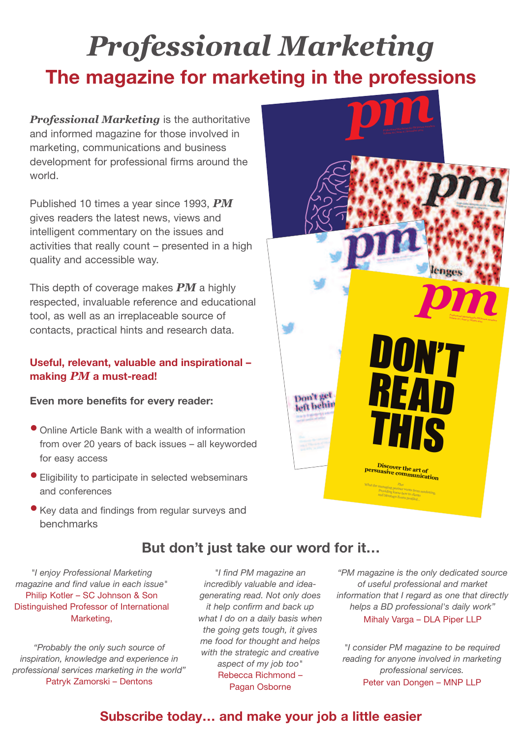# *Professional Marketing* **The magazine for marketing in the professions**

*Professional Marketing* is the authoritative and informed magazine for those involved in marketing, communications and business development for professional firms around the world.

Published 10 times a year since 1993, *PM* gives readers the latest news, views and intelligent commentary on the issues and activities that really count – presented in a high quality and accessible way.

This depth of coverage makes *PM* a highly respected, invaluable reference and educational tool, as well as an irreplaceable source of contacts, practical hints and research data.

### **Useful, relevant, valuable and inspirational – making** *PM* **a must-read!**

### **Even more benefits for every reader:**

- Online Article Bank with <sup>a</sup> wealth of information from over 20 years of back issues – all keyworded for easy access
- Eligibility to participate in selected webseminars and conferences
- Key data and findings from regular surveys and benchmarks

*"I enjoy Professional Marketing magazine and find value in each issue"* Philip Kotler – SC Johnson & Son Distinguished Professor of International Marketing,

*"Probably the only such source of inspiration, knowledge and experience in professional services marketing in the world"* Patryk Zamorski – Dentons

*"I find PM magazine an incredibly valuable and ideagenerating read. Not only does it help confirm and back up what I do on a daily basis when the going gets tough, it gives me food for thought and helps with the strategic and creative aspect of my job too"* Rebecca Richmond – Pagan Osborne

**But don't just take our word for it…**

*"PM magazine is the only dedicated source of useful professional and market information that I regard as one that directly helps a BD professional's daily work"* Mihaly Varga – DLA Piper LLP

*"I consider PM magazine to be required reading for anyone involved in marketing professional services.* Peter van Dongen – MNP LLP



### **Subscribe today… and make your job a little easier**